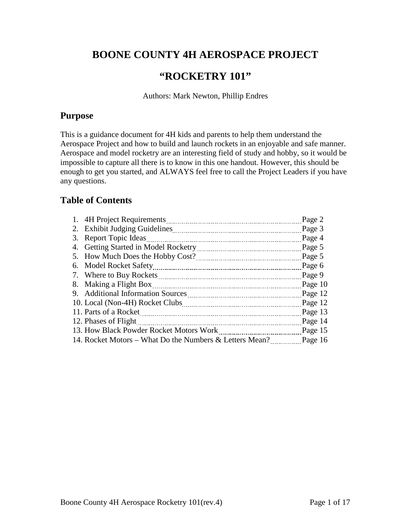# **BOONE COUNTY 4H AEROSPACE PROJECT**

# **"ROCKETRY 101"**

Authors: Mark Newton, Phillip Endres

### **Purpose**

This is a guidance document for 4H kids and parents to help them understand the Aerospace Project and how to build and launch rockets in an enjoyable and safe manner. Aerospace and model rocketry are an interesting field of study and hobby, so it would be impossible to capture all there is to know in this one handout. However, this should be enough to get you started, and ALWAYS feel free to call the Project Leaders if you have any questions.

### **Table of Contents**

| Page 2                                                                                                                                                                                                 |
|--------------------------------------------------------------------------------------------------------------------------------------------------------------------------------------------------------|
| Page 3                                                                                                                                                                                                 |
| Page 4                                                                                                                                                                                                 |
| Page 5                                                                                                                                                                                                 |
| Page 5                                                                                                                                                                                                 |
| Page 6                                                                                                                                                                                                 |
| Page 9                                                                                                                                                                                                 |
| Page 10                                                                                                                                                                                                |
| Page 12                                                                                                                                                                                                |
| Page 12                                                                                                                                                                                                |
| Page 13                                                                                                                                                                                                |
| Page 14                                                                                                                                                                                                |
| Page 15                                                                                                                                                                                                |
| Page 16                                                                                                                                                                                                |
| 3. Report Topic Ideas<br>8. Making a Flight Box<br>11. Parts of a Rocket<br>12. Phases of Flight<br>13. How Black Powder Rocket Motors Work<br>14. Rocket Motors – What Do the Numbers & Letters Mean? |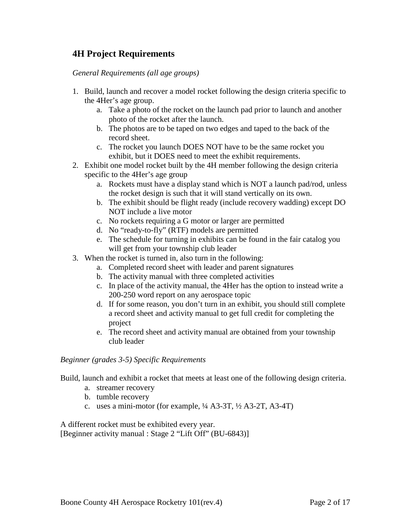### **4H Project Requirements**

*General Requirements (all age groups)*

- 1. Build, launch and recover a model rocket following the design criteria specific to the 4Her's age group.
	- a. Take a photo of the rocket on the launch pad prior to launch and another photo of the rocket after the launch.
	- b. The photos are to be taped on two edges and taped to the back of the record sheet.
	- c. The rocket you launch DOES NOT have to be the same rocket you exhibit, but it DOES need to meet the exhibit requirements.
- 2. Exhibit one model rocket built by the 4H member following the design criteria specific to the 4Her's age group
	- a. Rockets must have a display stand which is NOT a launch pad/rod, unless the rocket design is such that it will stand vertically on its own.
	- b. The exhibit should be flight ready (include recovery wadding) except DO NOT include a live motor
	- c. No rockets requiring a G motor or larger are permitted
	- d. No "ready-to-fly" (RTF) models are permitted
	- e. The schedule for turning in exhibits can be found in the fair catalog you will get from your township club leader
- 3. When the rocket is turned in, also turn in the following:
	- a. Completed record sheet with leader and parent signatures
	- b. The activity manual with three completed activities
	- c. In place of the activity manual, the 4Her has the option to instead write a 200-250 word report on any aerospace topic
	- d. If for some reason, you don't turn in an exhibit, you should still complete a record sheet and activity manual to get full credit for completing the project
	- e. The record sheet and activity manual are obtained from your township club leader

#### *Beginner (grades 3-5) Specific Requirements*

Build, launch and exhibit a rocket that meets at least one of the following design criteria.

- a. streamer recovery
- b. tumble recovery
- c. uses a mini-motor (for example, ¼ A3-3T, ½ A3-2T, A3-4T)

A different rocket must be exhibited every year. [Beginner activity manual : Stage 2 "Lift Off" (BU-6843)]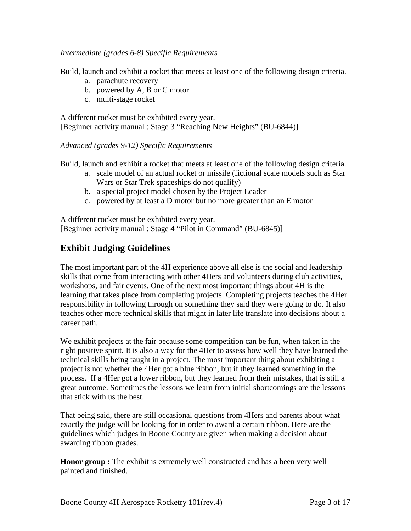#### *Intermediate (grades 6-8) Specific Requirements*

Build, launch and exhibit a rocket that meets at least one of the following design criteria.

- a. parachute recovery
- b. powered by A, B or C motor
- c. multi-stage rocket

A different rocket must be exhibited every year. [Beginner activity manual : Stage 3 "Reaching New Heights" (BU-6844)]

*Advanced (grades 9-12) Specific Requirements*

Build, launch and exhibit a rocket that meets at least one of the following design criteria.

- a. scale model of an actual rocket or missile (fictional scale models such as Star Wars or Star Trek spaceships do not qualify)
- b. a special project model chosen by the Project Leader
- c. powered by at least a D motor but no more greater than an E motor

A different rocket must be exhibited every year. [Beginner activity manual : Stage 4 "Pilot in Command" (BU-6845)]

# **Exhibit Judging Guidelines**

The most important part of the 4H experience above all else is the social and leadership skills that come from interacting with other 4Hers and volunteers during club activities, workshops, and fair events. One of the next most important things about 4H is the learning that takes place from completing projects. Completing projects teaches the 4Her responsibility in following through on something they said they were going to do. It also teaches other more technical skills that might in later life translate into decisions about a career path.

We exhibit projects at the fair because some competition can be fun, when taken in the right positive spirit. It is also a way for the 4Her to assess how well they have learned the technical skills being taught in a project. The most important thing about exhibiting a project is not whether the 4Her got a blue ribbon, but if they learned something in the process. If a 4Her got a lower ribbon, but they learned from their mistakes, that is still a great outcome. Sometimes the lessons we learn from initial shortcomings are the lessons that stick with us the best.

That being said, there are still occasional questions from 4Hers and parents about what exactly the judge will be looking for in order to award a certain ribbon. Here are the guidelines which judges in Boone County are given when making a decision about awarding ribbon grades.

**Honor group :** The exhibit is extremely well constructed and has a been very well painted and finished.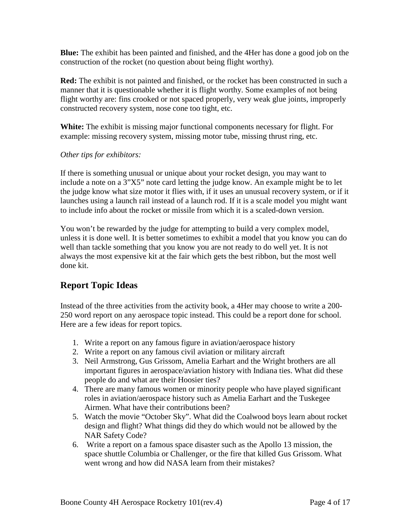**Blue:** The exhibit has been painted and finished, and the 4Her has done a good job on the construction of the rocket (no question about being flight worthy).

**Red:** The exhibit is not painted and finished, or the rocket has been constructed in such a manner that it is questionable whether it is flight worthy. Some examples of not being flight worthy are: fins crooked or not spaced properly, very weak glue joints, improperly constructed recovery system, nose cone too tight, etc.

**White:** The exhibit is missing major functional components necessary for flight. For example: missing recovery system, missing motor tube, missing thrust ring, etc.

#### *Other tips for exhibitors:*

If there is something unusual or unique about your rocket design, you may want to include a note on a 3"X5" note card letting the judge know. An example might be to let the judge know what size motor it flies with, if it uses an unusual recovery system, or if it launches using a launch rail instead of a launch rod. If it is a scale model you might want to include info about the rocket or missile from which it is a scaled-down version.

You won't be rewarded by the judge for attempting to build a very complex model, unless it is done well. It is better sometimes to exhibit a model that you know you can do well than tackle something that you know you are not ready to do well yet. It is not always the most expensive kit at the fair which gets the best ribbon, but the most well done kit.

## **Report Topic Ideas**

Instead of the three activities from the activity book, a 4Her may choose to write a 200- 250 word report on any aerospace topic instead. This could be a report done for school. Here are a few ideas for report topics.

- 1. Write a report on any famous figure in aviation/aerospace history
- 2. Write a report on any famous civil aviation or military aircraft
- 3. Neil Armstrong, Gus Grissom, Amelia Earhart and the Wright brothers are all important figures in aerospace/aviation history with Indiana ties. What did these people do and what are their Hoosier ties?
- 4. There are many famous women or minority people who have played significant roles in aviation/aerospace history such as Amelia Earhart and the Tuskegee Airmen. What have their contributions been?
- 5. Watch the movie "October Sky". What did the Coalwood boys learn about rocket design and flight? What things did they do which would not be allowed by the NAR Safety Code?
- 6. Write a report on a famous space disaster such as the Apollo 13 mission, the space shuttle Columbia or Challenger, or the fire that killed Gus Grissom. What went wrong and how did NASA learn from their mistakes?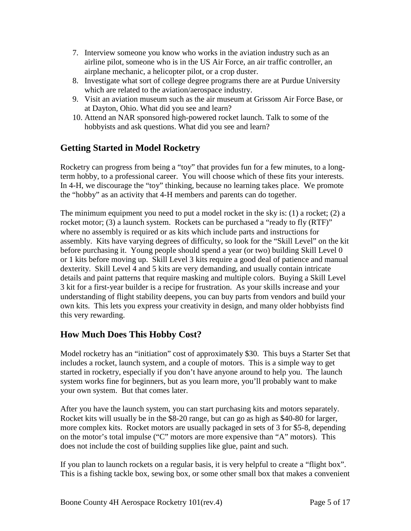- 7. Interview someone you know who works in the aviation industry such as an airline pilot, someone who is in the US Air Force, an air traffic controller, an airplane mechanic, a helicopter pilot, or a crop duster.
- 8. Investigate what sort of college degree programs there are at Purdue University which are related to the aviation/aerospace industry.
- 9. Visit an aviation museum such as the air museum at Grissom Air Force Base, or at Dayton, Ohio. What did you see and learn?
- 10. Attend an NAR sponsored high-powered rocket launch. Talk to some of the hobbyists and ask questions. What did you see and learn?

## **Getting Started in Model Rocketry**

Rocketry can progress from being a "toy" that provides fun for a few minutes, to a longterm hobby, to a professional career. You will choose which of these fits your interests. In 4-H, we discourage the "toy" thinking, because no learning takes place. We promote the "hobby" as an activity that 4-H members and parents can do together.

The minimum equipment you need to put a model rocket in the sky is:  $(1)$  a rocket;  $(2)$  a rocket motor; (3) a launch system. Rockets can be purchased a "ready to fly (RTF)" where no assembly is required or as kits which include parts and instructions for assembly. Kits have varying degrees of difficulty, so look for the "Skill Level" on the kit before purchasing it. Young people should spend a year (or two) building Skill Level 0 or 1 kits before moving up. Skill Level 3 kits require a good deal of patience and manual dexterity. Skill Level 4 and 5 kits are very demanding, and usually contain intricate details and paint patterns that require masking and multiple colors. Buying a Skill Level 3 kit for a first-year builder is a recipe for frustration. As your skills increase and your understanding of flight stability deepens, you can buy parts from vendors and build your own kits. This lets you express your creativity in design, and many older hobbyists find this very rewarding.

## **How Much Does This Hobby Cost?**

Model rocketry has an "initiation" cost of approximately \$30. This buys a Starter Set that includes a rocket, launch system, and a couple of motors. This is a simple way to get started in rocketry, especially if you don't have anyone around to help you. The launch system works fine for beginners, but as you learn more, you'll probably want to make your own system. But that comes later.

After you have the launch system, you can start purchasing kits and motors separately. Rocket kits will usually be in the \$8-20 range, but can go as high as \$40-80 for larger, more complex kits. Rocket motors are usually packaged in sets of 3 for \$5-8, depending on the motor's total impulse ("C" motors are more expensive than "A" motors). This does not include the cost of building supplies like glue, paint and such.

If you plan to launch rockets on a regular basis, it is very helpful to create a "flight box". This is a fishing tackle box, sewing box, or some other small box that makes a convenient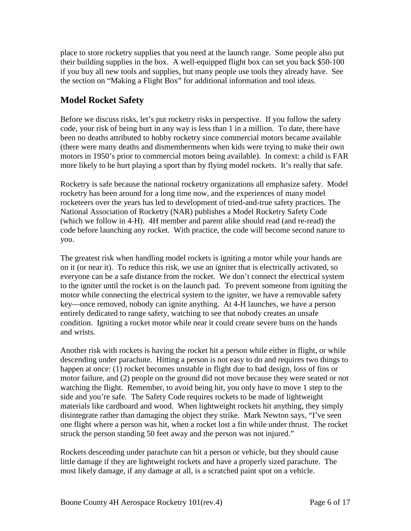place to store rocketry supplies that you need at the launch range. Some people also put their building supplies in the box. A well-equipped flight box can set you back \$50-100 if you buy all new tools and supplies, but many people use tools they already have. See the section on "Making a Flight Box" for additional information and tool ideas.

### **Model Rocket Safety**

Before we discuss risks, let's put rocketry risks in perspective. If you follow the safety code, your risk of being hurt in any way is less than 1 in a million. To date, there have been no deaths attributed to hobby rocketry since commercial motors became available (there were many deaths and dismemberments when kids were trying to make their own motors in 1950's prior to commercial motors being available). In context: a child is FAR more likely to be hurt playing a sport than by flying model rockets. It's really that safe.

Rocketry is safe because the national rocketry organizations all emphasize safety. Model rocketry has been around for a long time now, and the experiences of many model rocketeers over the years has led to development of tried-and-true safety practices. The National Association of Rocketry (NAR) publishes a Model Rocketry Safety Code (which we follow in 4-H). 4H member and parent alike should read (and re-read) the code before launching any rocket. With practice, the code will become second nature to you.

The greatest risk when handling model rockets is igniting a motor while your hands are on it (or near it). To reduce this risk, we use an igniter that is electrically activated, so everyone can be a safe distance from the rocket. We don't connect the electrical system to the igniter until the rocket is on the launch pad. To prevent someone from igniting the motor while connecting the electrical system to the igniter, we have a removable safety key—once removed, nobody can ignite anything. At 4-H launches, we have a person entirely dedicated to range safety, watching to see that nobody creates an unsafe condition. Igniting a rocket motor while near it could create severe buns on the hands and wrists.

Another risk with rockets is having the rocket hit a person while either in flight, or while descending under parachute. Hitting a person is not easy to do and requires two things to happen at once: (1) rocket becomes unstable in flight due to bad design, loss of fins or motor failure, and (2) people on the ground did not move because they were seated or not watching the flight. Remember, to avoid being hit, you only have to move 1 step to the side and you're safe. The Safety Code requires rockets to be made of lightweight materials like cardboard and wood. When lightweight rockets hit anything, they simply disintegrate rather than damaging the object they strike. Mark Newton says, "I've seen one flight where a person was hit, when a rocket lost a fin while under thrust. The rocket struck the person standing 50 feet away and the person was not injured."

Rockets descending under parachute can hit a person or vehicle, but they should cause little damage if they are lightweight rockets and have a properly sized parachute. The most likely damage, if any damage at all, is a scratched paint spot on a vehicle.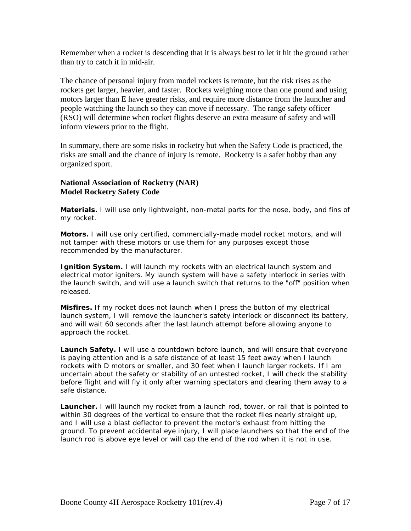Remember when a rocket is descending that it is always best to let it hit the ground rather than try to catch it in mid-air.

The chance of personal injury from model rockets is remote, but the risk rises as the rockets get larger, heavier, and faster. Rockets weighing more than one pound and using motors larger than E have greater risks, and require more distance from the launcher and people watching the launch so they can move if necessary. The range safety officer (RSO) will determine when rocket flights deserve an extra measure of safety and will inform viewers prior to the flight.

In summary, there are some risks in rocketry but when the Safety Code is practiced, the risks are small and the chance of injury is remote. Rocketry is a safer hobby than any organized sport.

#### **National Association of Rocketry (NAR) Model Rocketry Safety Code**

**Materials.** I will use only lightweight, non-metal parts for the nose, body, and fins of my rocket.

**Motors.** I will use only certified, commercially-made model rocket motors, and will not tamper with these motors or use them for any purposes except those recommended by the manufacturer.

**Ignition System.** I will launch my rockets with an electrical launch system and electrical motor igniters. My launch system will have a safety interlock in series with the launch switch, and will use a launch switch that returns to the "off" position when released.

**Misfires.** If my rocket does not launch when I press the button of my electrical launch system, I will remove the launcher's safety interlock or disconnect its battery, and will wait 60 seconds after the last launch attempt before allowing anyone to approach the rocket.

**Launch Safety.** I will use a countdown before launch, and will ensure that everyone is paying attention and is a safe distance of at least 15 feet away when I launch rockets with D motors or smaller, and 30 feet when I launch larger rockets. If I am uncertain about the safety or stability of an untested rocket, I will check the stability before flight and will fly it only after warning spectators and clearing them away to a safe distance.

**Launcher.** I will launch my rocket from a launch rod, tower, or rail that is pointed to within 30 degrees of the vertical to ensure that the rocket flies nearly straight up, and I will use a blast deflector to prevent the motor's exhaust from hitting the ground. To prevent accidental eye injury, I will place launchers so that the end of the launch rod is above eye level or will cap the end of the rod when it is not in use.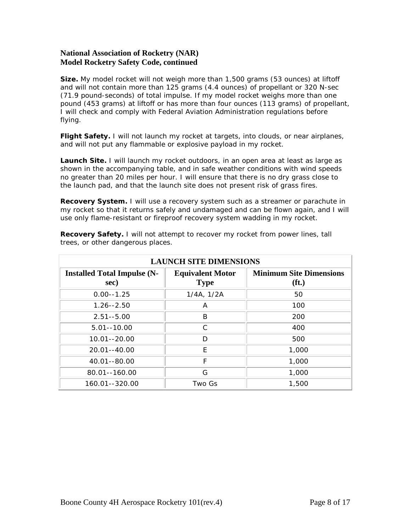#### **National Association of Rocketry (NAR) Model Rocketry Safety Code, continued**

**Size.** My model rocket will not weigh more than 1,500 grams (53 ounces) at liftoff and will not contain more than 125 grams (4.4 ounces) of propellant or 320 N-sec (71.9 pound-seconds) of total impulse. If my model rocket weighs more than one pound (453 grams) at liftoff or has more than four ounces (113 grams) of propellant, I will check and comply with Federal Aviation Administration regulations before flying.

**Flight Safety.** I will not launch my rocket at targets, into clouds, or near airplanes, and will not put any flammable or explosive payload in my rocket.

**Launch Site.** I will launch my rocket outdoors, in an open area at least as large as shown in [the accompanying table,](http://www.nar.org/NARmrsc.html#sitedimensions#sitedimensions) and in safe weather conditions with wind speeds no greater than 20 miles per hour. I will ensure that there is no dry grass close to the launch pad, and that the launch site does not present risk of grass fires.

**Recovery System.** I will use a recovery system such as a streamer or parachute in my rocket so that it returns safely and undamaged and can be flown again, and I will use only flame-resistant or fireproof recovery system wadding in my rocket.

| <b>LAUNCH SITE DIMENSIONS</b>              |                                        |                                                     |  |
|--------------------------------------------|----------------------------------------|-----------------------------------------------------|--|
| <b>Installed Total Impulse (N-</b><br>sec) | <b>Equivalent Motor</b><br><b>Type</b> | <b>Minimum Site Dimensions</b><br>(f <sub>t</sub> ) |  |
| $0.00 - 1.25$                              | 1/4A, 1/2A                             | 50                                                  |  |
| $1.26 - 2.50$                              | A                                      | 100                                                 |  |
| $2.51 - 5.00$                              | B                                      | 200                                                 |  |
| $5.01 - 10.00$                             | C                                      | 400                                                 |  |
| 10.01--20.00                               | D                                      | 500                                                 |  |
| 20.01--40.00                               | F                                      | 1,000                                               |  |
| 40.01 - - 80.00                            | F                                      | 1,000                                               |  |
| 80.01--160.00                              | G                                      | 1,000                                               |  |
| 160.01--320.00                             | Two Gs                                 | 1,500                                               |  |

**Recovery Safety.** I will not attempt to recover my rocket from power lines, tall trees, or other dangerous places.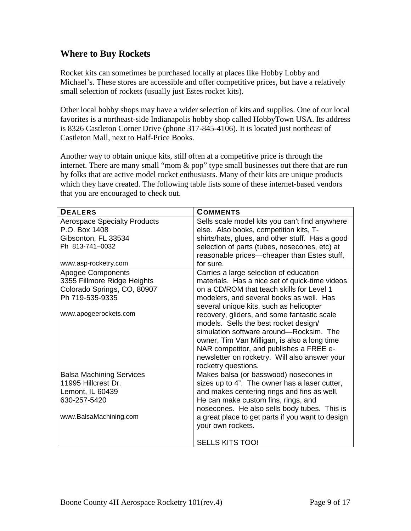### **Where to Buy Rockets**

Rocket kits can sometimes be purchased locally at places like Hobby Lobby and Michael's. These stores are accessible and offer competitive prices, but have a relatively small selection of rockets (usually just Estes rocket kits).

Other local hobby shops may have a wider selection of kits and supplies. One of our local favorites is a northeast-side Indianapolis hobby shop called HobbyTown USA. Its address is 8326 Castleton Corner Drive (phone 317-845-4106). It is located just northeast of Castleton Mall, next to Half-Price Books.

Another way to obtain unique kits, still often at a competitive price is through the internet. There are many small "mom & pop" type small businesses out there that are run by folks that are active model rocket enthusiasts. Many of their kits are unique products which they have created. The following table lists some of these internet-based vendors that you are encouraged to check out.

| <b>DEALERS</b>                      | <b>COMMENTS</b>                                  |
|-------------------------------------|--------------------------------------------------|
| <b>Aerospace Specialty Products</b> | Sells scale model kits you can't find anywhere   |
| P.O. Box 1408                       | else. Also books, competition kits, T-           |
| Gibsonton, FL 33534                 | shirts/hats, glues, and other stuff. Has a good  |
| Ph 813-741-0032                     | selection of parts (tubes, nosecones, etc) at    |
|                                     | reasonable prices—cheaper than Estes stuff,      |
| www.asp-rocketry.com                | for sure.                                        |
| <b>Apogee Components</b>            | Carries a large selection of education           |
| 3355 Fillmore Ridge Heights         | materials. Has a nice set of quick-time videos   |
| Colorado Springs, CO, 80907         | on a CD/ROM that teach skills for Level 1        |
| Ph 719-535-9335                     | modelers, and several books as well. Has         |
|                                     | several unique kits, such as helicopter          |
| www.apogeerockets.com               | recovery, gliders, and some fantastic scale      |
|                                     | models. Sells the best rocket design/            |
|                                     | simulation software around-Rocksim. The          |
|                                     | owner, Tim Van Milligan, is also a long time     |
|                                     | NAR competitor, and publishes a FREE e-          |
|                                     | newsletter on rocketry. Will also answer your    |
|                                     | rocketry questions.                              |
| <b>Balsa Machining Services</b>     | Makes balsa (or basswood) nosecones in           |
| 11995 Hillcrest Dr.                 | sizes up to 4". The owner has a laser cutter,    |
| Lemont, IL 60439                    | and makes centering rings and fins as well.      |
| 630-257-5420                        | He can make custom fins, rings, and              |
|                                     | nosecones. He also sells body tubes. This is     |
| www.BalsaMachining.com              | a great place to get parts if you want to design |
|                                     | your own rockets.                                |
|                                     |                                                  |
|                                     | <b>SELLS KITS TOO!</b>                           |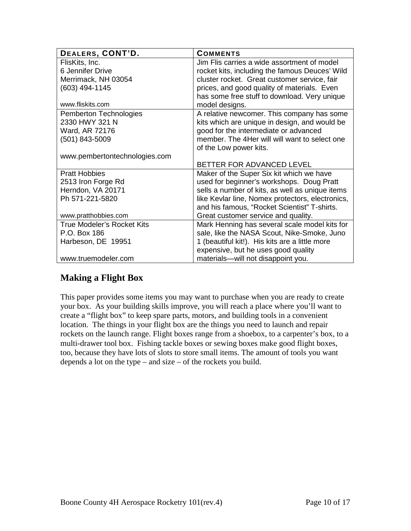| DEALERS, CONT'D.                  | <b>COMMENTS</b>                                  |
|-----------------------------------|--------------------------------------------------|
| FlisKits, Inc.                    | Jim Flis carries a wide assortment of model      |
| 6 Jennifer Drive                  | rocket kits, including the famous Deuces' Wild   |
| Merrimack, NH 03054               | cluster rocket. Great customer service, fair     |
| (603) 494-1145                    | prices, and good quality of materials. Even      |
|                                   | has some free stuff to download. Very unique     |
| www.fliskits.com                  | model designs.                                   |
| Pemberton Technologies            | A relative newcomer. This company has some       |
| 2330 HWY 321 N                    | kits which are unique in design, and would be    |
| Ward, AR 72176                    | good for the intermediate or advanced            |
| (501) 843-5009                    | member. The 4Her will will want to select one    |
|                                   | of the Low power kits.                           |
| www.pembertontechnologies.com     |                                                  |
|                                   | BETTER FOR ADVANCED LEVEL                        |
| <b>Pratt Hobbies</b>              | Maker of the Super Six kit which we have         |
| 2513 Iron Forge Rd                | used for beginner's workshops. Doug Pratt        |
| Herndon, VA 20171                 | sells a number of kits, as well as unique items  |
| Ph 571-221-5820                   | like Kevlar line, Nomex protectors, electronics, |
|                                   | and his famous, "Rocket Scientist" T-shirts.     |
| www.pratthobbies.com              | Great customer service and quality.              |
| <b>True Modeler's Rocket Kits</b> | Mark Henning has several scale model kits for    |
| P.O. Box 186                      | sale, like the NASA Scout, Nike-Smoke, Juno      |
| Harbeson, DE 19951                | 1 (beautiful kit!). His kits are a little more   |
|                                   | expensive, but he uses good quality              |
| www.truemodeler.com               | materials--will not disappoint you.              |

## **Making a Flight Box**

This paper provides some items you may want to purchase when you are ready to create your box. As your building skills improve, you will reach a place where you'll want to create a "flight box" to keep spare parts, motors, and building tools in a convenient location. The things in your flight box are the things you need to launch and repair rockets on the launch range. Flight boxes range from a shoebox, to a carpenter's box, to a multi-drawer tool box. Fishing tackle boxes or sewing boxes make good flight boxes, too, because they have lots of slots to store small items. The amount of tools you want depends a lot on the type – and size – of the rockets you build.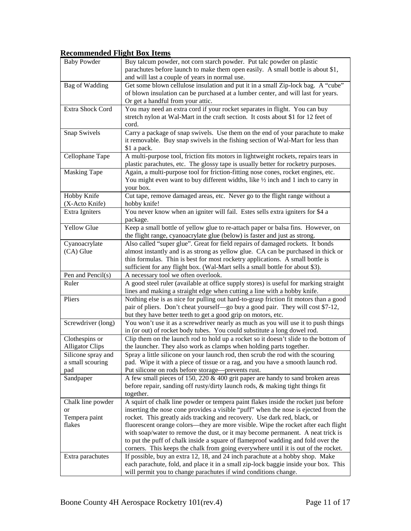#### **Recommended Flight Box Items**

| <b>Baby Powder</b>                            | Buy talcum powder, not corn starch powder. Put talc powder on plastic<br>parachutes before launch to make them open easily. A small bottle is about \$1,<br>and will last a couple of years in normal use.                                                                                                                            |
|-----------------------------------------------|---------------------------------------------------------------------------------------------------------------------------------------------------------------------------------------------------------------------------------------------------------------------------------------------------------------------------------------|
| <b>Bag of Wadding</b>                         | Get some blown cellulose insulation and put it in a small Zip-lock bag. A "cube"<br>of blown insulation can be purchased at a lumber center, and will last for years.<br>Or get a handful from your attic.                                                                                                                            |
| Extra Shock Cord                              | You may need an extra cord if your rocket separates in flight. You can buy<br>stretch nylon at Wal-Mart in the craft section. It costs about \$1 for 12 feet of<br>cord.                                                                                                                                                              |
| Snap Swivels                                  | Carry a package of snap swivels. Use them on the end of your parachute to make<br>it removable. Buy snap swivels in the fishing section of Wal-Mart for less than<br>\$1 a pack.                                                                                                                                                      |
| Cellophane Tape                               | A multi-purpose tool, friction fits motors in lightweight rockets, repairs tears in<br>plastic parachutes, etc. The glossy tape is usually better for rocketry purposes.                                                                                                                                                              |
| <b>Masking Tape</b>                           | Again, a multi-purpose tool for friction-fitting nose cones, rocket engines, etc.<br>You might even want to buy different widths, like 1/2 inch and 1 inch to carry in<br>your box.                                                                                                                                                   |
| Hobby Knife<br>(X-Acto Knife)                 | Cut tape, remove damaged areas, etc. Never go to the flight range without a<br>hobby knife!                                                                                                                                                                                                                                           |
| Extra Igniters                                | You never know when an igniter will fail. Estes sells extra igniters for \$4 a<br>package.                                                                                                                                                                                                                                            |
| Yellow Glue                                   | Keep a small bottle of yellow glue to re-attach paper or balsa fins. However, on<br>the flight range, cyanoacrylate glue (below) is faster and just as strong.                                                                                                                                                                        |
| Cyanoacrylate<br>(CA) Glue                    | Also called "super glue". Great for field repairs of damaged rockets. It bonds<br>almost instantly and is as strong as yellow glue. CA can be purchased in thick or<br>thin formulas. Thin is best for most rocketry applications. A small bottle is<br>sufficient for any flight box. (Wal-Mart sells a small bottle for about \$3). |
| Pen and Pencil(s)                             | A necessary tool we often overlook.                                                                                                                                                                                                                                                                                                   |
| Ruler                                         | A good steel ruler (available at office supply stores) is useful for marking straight<br>lines and making a straight edge when cutting a line with a hobby knife.                                                                                                                                                                     |
| Pliers                                        | Nothing else is as nice for pulling out hard-to-grasp friction fit motors than a good<br>pair of pliers. Don't cheat yourself—go buy a good pair. They will cost \$7-12,<br>but they have better teeth to get a good grip on motors, etc.                                                                                             |
| Screwdriver (long)                            | You won't use it as a screwdriver nearly as much as you will use it to push things<br>in (or out) of rocket body tubes. You could substitute a long dowel rod.                                                                                                                                                                        |
| Clothespins or<br><b>Alligator Clips</b>      | Clip them on the launch rod to hold up a rocket so it doesn't slide to the bottom of<br>the launcher. They also work as clamps when holding parts together.                                                                                                                                                                           |
| Silicone spray and<br>a small scouring<br>pad | Spray a little silicone on your launch rod, then scrub the rod with the scouring<br>pad. Wipe it with a piece of tissue or a rag, and you have a smooth launch rod.<br>Put silicone on rods before storage—prevents rust.                                                                                                             |
| Sandpaper                                     | A few small pieces of 150, 220 & 400 grit paper are handy to sand broken areas<br>before repair, sanding off rusty/dirty launch rods, & making tight things fit<br>together.                                                                                                                                                          |
| Chalk line powder                             | A squirt of chalk line powder or tempera paint flakes inside the rocket just before                                                                                                                                                                                                                                                   |
| or                                            | inserting the nose cone provides a visible "puff" when the nose is ejected from the                                                                                                                                                                                                                                                   |
| Tempera paint                                 | rocket. This greatly aids tracking and recovery. Use dark red, black, or                                                                                                                                                                                                                                                              |
| flakes                                        | fluorescent orange colors—they are more visible. Wipe the rocket after each flight                                                                                                                                                                                                                                                    |
|                                               | with soap/water to remove the dust, or it may become permanent. A neat trick is<br>to put the puff of chalk inside a square of flameproof wadding and fold over the                                                                                                                                                                   |
|                                               | corners. This keeps the chalk from going everywhere until it is out of the rocket.                                                                                                                                                                                                                                                    |
| Extra parachutes                              | If possible, buy an extra 12, 18, and 24 inch parachute at a hobby shop. Make                                                                                                                                                                                                                                                         |
|                                               | each parachute, fold, and place it in a small zip-lock baggie inside your box. This                                                                                                                                                                                                                                                   |
|                                               | will permit you to change parachutes if wind conditions change.                                                                                                                                                                                                                                                                       |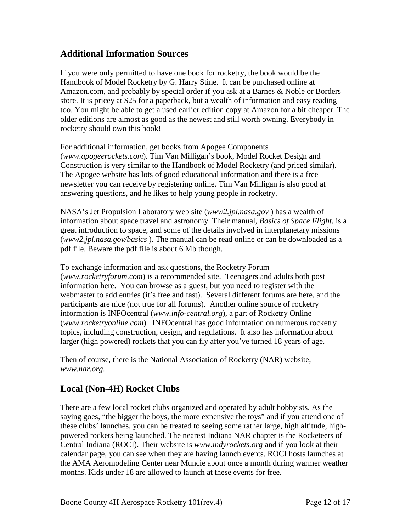### **Additional Information Sources**

If you were only permitted to have one book for rocketry, the book would be the Handbook of Model Rocketry by G. Harry Stine. It can be purchased online at Amazon.com, and probably by special order if you ask at a Barnes & Noble or Borders store. It is pricey at \$25 for a paperback, but a wealth of information and easy reading too. You might be able to get a used earlier edition copy at Amazon for a bit cheaper. The older editions are almost as good as the newest and still worth owning. Everybody in rocketry should own this book!

For additional information, get books from Apogee Components (*[www.apogeerockets.com](http://www.apogeerockets.com/)*). Tim Van Milligan's book, Model Rocket Design and Construction is very similar to the Handbook of Model Rocketry (and priced similar). The Apogee website has lots of good educational information and there is a free newsletter you can receive by registering online. Tim Van Milligan is also good at answering questions, and he likes to help young people in rocketry.

NASA's Jet Propulsion Laboratory web site (*[www2.jpl.nasa.gov](http://www.nasa.gov/)* ) has a wealth of information about space travel and astronomy. Their manual, *Basics of Space Flight,* is a great introduction to space, and some of the details involved in interplanetary missions (*[www2.jpl.nasa.gov/basics](http://www2.jpl.nasa.gov/basics/basics.pdf)* ). The manual can be read online or can be downloaded as a pdf file. Beware the pdf file is about 6 Mb though.

To exchange information and ask questions, the Rocketry Forum (*[www.rocketryforum.com](http://www.rocketryforum.com/)*) is a recommended site. Teenagers and adults both post information here. You can browse as a guest, but you need to register with the webmaster to add entries (it's free and fast). Several different forums are here, and the participants are nice (not true for all forums). Another online source of rocketry information is INFOcentral (*www.info-central.org*), a part of Rocketry Online (*[www.rocketryonline.com](http://www.rocketryonline.com/)*). INFOcentral has good information on numerous rocketry topics, including construction, design, and regulations. It also has information about larger (high powered) rockets that you can fly after you've turned 18 years of age.

Then of course, there is the National Association of Rocketry (NAR) website, *[www.nar.org](http://www.nar.org/)*.

## **Local (Non-4H) Rocket Clubs**

There are a few local rocket clubs organized and operated by adult hobbyists. As the saying goes, "the bigger the boys, the more expensive the toys" and if you attend one of these clubs' launches, you can be treated to seeing some rather large, high altitude, highpowered rockets being launched. The nearest Indiana NAR chapter is the Rocketeers of Central Indiana (ROCI). Their website is *[www.indyrockets.org](http://www.indyrockets.org/)* and if you look at their calendar page, you can see when they are having launch events. ROCI hosts launches at the AMA Aeromodeling Center near Muncie about once a month during warmer weather months. Kids under 18 are allowed to launch at these events for free.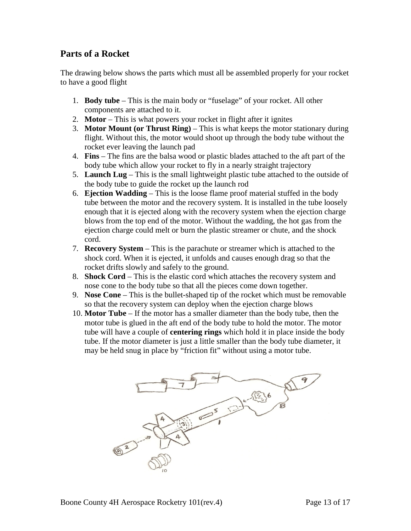### **Parts of a Rocket**

The drawing below shows the parts which must all be assembled properly for your rocket to have a good flight

- 1. **Body tube** This is the main body or "fuselage" of your rocket. All other components are attached to it.
- 2. **Motor** This is what powers your rocket in flight after it ignites
- 3. **Motor Mount (or Thrust Ring)** This is what keeps the motor stationary during flight. Without this, the motor would shoot up through the body tube without the rocket ever leaving the launch pad
- 4. **Fins** The fins are the balsa wood or plastic blades attached to the aft part of the body tube which allow your rocket to fly in a nearly straight trajectory
- 5. **Launch Lug** This is the small lightweight plastic tube attached to the outside of the body tube to guide the rocket up the launch rod
- 6. **Ejection Wadding** This is the loose flame proof material stuffed in the body tube between the motor and the recovery system. It is installed in the tube loosely enough that it is ejected along with the recovery system when the ejection charge blows from the top end of the motor. Without the wadding, the hot gas from the ejection charge could melt or burn the plastic streamer or chute, and the shock cord.
- 7. **Recovery System** This is the parachute or streamer which is attached to the shock cord. When it is ejected, it unfolds and causes enough drag so that the rocket drifts slowly and safely to the ground.
- 8. **Shock Cord** This is the elastic cord which attaches the recovery system and nose cone to the body tube so that all the pieces come down together.
- 9. **Nose Cone** This is the bullet-shaped tip of the rocket which must be removable so that the recovery system can deploy when the ejection charge blows
- 10. **Motor Tube** If the motor has a smaller diameter than the body tube, then the motor tube is glued in the aft end of the body tube to hold the motor. The motor tube will have a couple of **centering rings** which hold it in place inside the body tube. If the motor diameter is just a little smaller than the body tube diameter, it may be held snug in place by "friction fit" without using a motor tube.

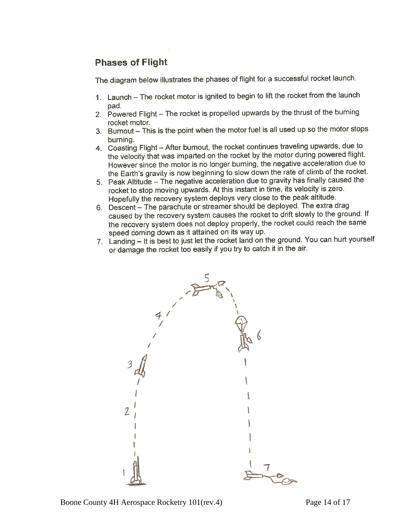## **Phases of Flight**

The diagram below illustrates the phases of flight for a successful rocket launch.

- 1. Launch The rocket motor is ignited to begin to lift the rocket from the launch pad.
- 2. Powered Flight The rocket is propelled upwards by the thrust of the burning rocket motor.
- 3. Burnout This is the point when the motor fuel is all used up so the motor stops burning.
- 4. Coasting Flight After burnout, the rocket continues traveling upwards, due to the velocity that was imparted on the rocket by the motor during powered flight. However since the motor is no longer burning, the negative acceleration due to the Earth's gravity is now beginning to slow down the rate of climb of the rocket.
- 5. Peak Altitude The negative acceleration due to gravity has finally caused the rocket to stop moving upwards. At this instant in time, its velocity is zero. Hopefully the recovery system deploys very close to the peak altitude.
- 6. Descent The parachute or streamer should be deployed. The extra drag caused by the recovery system causes the rocket to drift slowly to the ground. If the recovery system does not deploy properly, the rocket could reach the same speed coming down as it attained on its way up.
- 7. Landing It is best to just let the rocket land on the ground. You can hurt yourself or damage the rocket too easily if you try to catch it in the air.

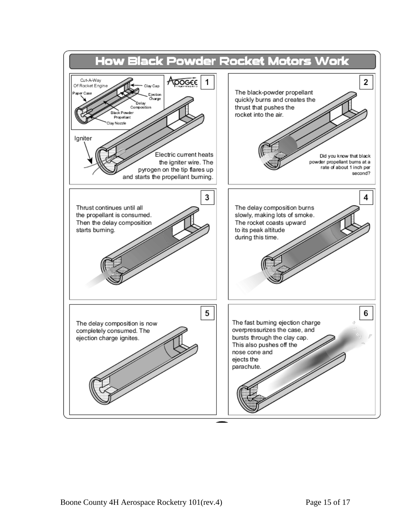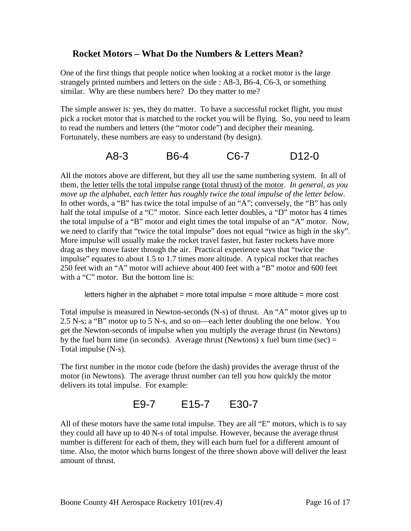### **Rocket Motors – What Do the Numbers & Letters Mean?**

One of the first things that people notice when looking at a rocket motor is the large strangely printed numbers and letters on the side : A8-3, B6-4, C6-3, or something similar. Why are these numbers here? Do they matter to me?

The simple answer is: yes, they do matter. To have a successful rocket flight, you must pick a rocket motor that is matched to the rocket you will be flying. So, you need to learn to read the numbers and letters (the "motor code") and decipher their meaning. Fortunately, these numbers are easy to understand (by design).

### A8-3 B6-4 C6-7 D12-0

All the motors above are different, but they all use the same numbering system. In all of them, the letter tells the total impulse range (total thrust) of the motor. *In general, as you move up the alphabet, each letter has roughly twice the total impulse of the letter below*. In other words, a "B" has twice the total impulse of an "A"; conversely, the "B" has only half the total impulse of a "C" motor. Since each letter doubles, a "D" motor has 4 times the total impulse of a "B" motor and eight times the total impulse of an "A" motor. Now, we need to clarify that "twice the total impulse" does not equal "twice as high in the sky". More impulse will usually make the rocket travel faster, but faster rockets have more drag as they move faster through the air. Practical experience says that "twice the impulse" equates to about 1.5 to 1.7 times more altitude. A typical rocket that reaches 250 feet with an "A" motor will achieve about 400 feet with a "B" motor and 600 feet with a "C" motor. But the bottom line is:

letters higher in the alphabet = more total impulse = more altitude = more cost

Total impulse is measured in Newton-seconds (N-s) of thrust. An "A" motor gives up to 2.5 N-s; a "B" motor up to 5 N-s, and so on—each letter doubling the one below. You get the Newton-seconds of impulse when you multiply the average thrust (in Newtons) by the fuel burn time (in seconds). Average thrust (Newtons) x fuel burn time (sec)  $=$ Total impulse (N-s).

The first number in the motor code (before the dash) provides the average thrust of the motor (in Newtons). The average thrust number can tell you how quickly the motor delivers its total impulse. For example:

# E9-7 E15-7 E30-7

All of these motors have the same total impulse. They are all "E" motors, which is to say they could all have up to 40 N-s of total impulse. However, because the average thrust number is different for each of them, they will each burn fuel for a different amount of time. Also, the motor which burns longest of the three shown above will deliver the least amount of thrust.